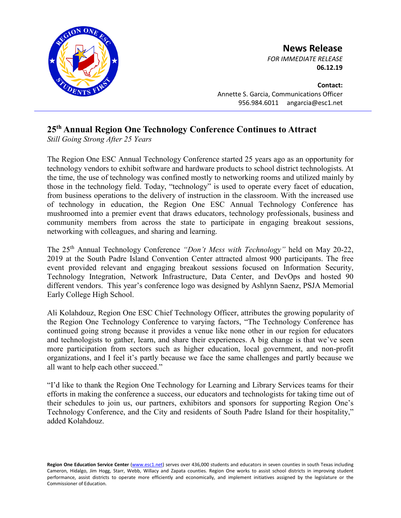

**News Release**

*FOR IMMEDIATE RELEASE* **06.12.19**

**Contact:** Annette S. Garcia, Communications Officer 956.984.6011 angarcia@esc1.net

## **25th Annual Region One Technology Conference Continues to Attract**

*Still Going Strong After 25 Years*

The Region One ESC Annual Technology Conference started 25 years ago as an opportunity for technology vendors to exhibit software and hardware products to school district technologists. At the time, the use of technology was confined mostly to networking rooms and utilized mainly by those in the technology field. Today, "technology" is used to operate every facet of education, from business operations to the delivery of instruction in the classroom. With the increased use of technology in education, the Region One ESC Annual Technology Conference has mushroomed into a premier event that draws educators, technology professionals, business and community members from across the state to participate in engaging breakout sessions, networking with colleagues, and sharing and learning.

The 25th Annual Technology Conference *"Don't Mess with Technology"* held on May 20-22, 2019 at the South Padre Island Convention Center attracted almost 900 participants. The free event provided relevant and engaging breakout sessions focused on Information Security, Technology Integration, Network Infrastructure, Data Center, and DevOps and hosted 90 different vendors. This year's conference logo was designed by Ashlynn Saenz, PSJA Memorial Early College High School.

Ali Kolahdouz, Region One ESC Chief Technology Officer, attributes the growing popularity of the Region One Technology Conference to varying factors, "The Technology Conference has continued going strong because it provides a venue like none other in our region for educators and technologists to gather, learn, and share their experiences. A big change is that we've seen more participation from sectors such as higher education, local government, and non-profit organizations, and I feel it's partly because we face the same challenges and partly because we all want to help each other succeed."

"I'd like to thank the Region One Technology for Learning and Library Services teams for their efforts in making the conference a success, our educators and technologists for taking time out of their schedules to join us, our partners, exhibitors and sponsors for supporting Region One's Technology Conference, and the City and residents of South Padre Island for their hospitality," added Kolahdouz.

Region One Education Service Center [\(www.esc1.net\)](http://www.esc1.net/) serves over 436,000 students and educators in seven counties in south Texas including Cameron, Hidalgo, Jim Hogg, Starr, Webb, Willacy and Zapata counties. Region One works to assist school districts in improving student performance, assist districts to operate more efficiently and economically, and implement initiatives assigned by the legislature or the Commissioner of Education.